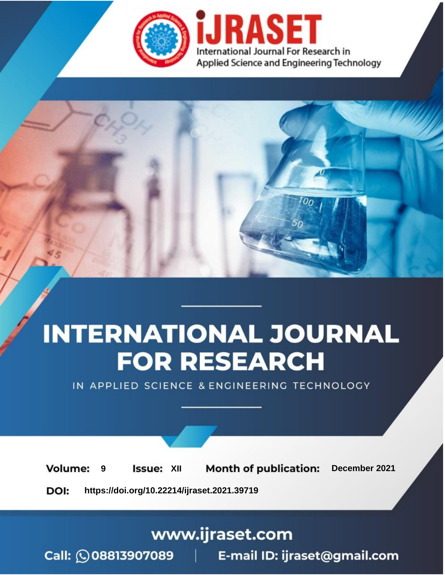

# **INTERNATIONAL JOURNAL FOR RESEARCH**

IN APPLIED SCIENCE & ENGINEERING TECHNOLOGY

**Month of publication: Volume: Issue: XII** December 2021 9 DOI: https://doi.org/10.22214/ijraset.2021.39719

www.ijraset.com

Call: 008813907089 | E-mail ID: ijraset@gmail.com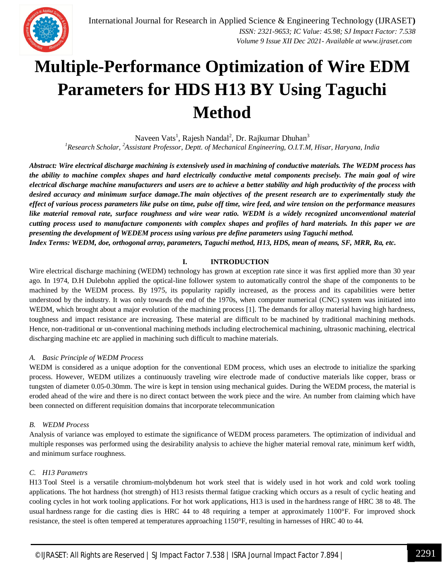

### **Multiple-Performance Optimization of Wire EDM Parameters for HDS H13 BY Using Taguchi Method**

Naveen Vats<sup>1</sup>, Rajesh Nandal<sup>2</sup>, Dr. Rajkumar Dhuhan<sup>3</sup> *<sup>1</sup>Research Scholar, <sup>2</sup>Assistant Professor, Deptt. of Mechanical Engineering, O.I.T.M, Hisar, Haryana, India*

*Abstract: Wire electrical discharge machining is extensively used in machining of conductive materials. The WEDM process has the ability to machine complex shapes and hard electrically conductive metal components precisely. The main goal of wire electrical discharge machine manufacturers and users are to achieve a better stability and high productivity of the process with desired accuracy and minimum surface damage.The main objectives of the present research are to experimentally study the effect of various process parameters like pulse on time, pulse off time, wire feed, and wire tension on the performance measures like material removal rate, surface roughness and wire wear ratio. WEDM is a widely recognized unconventional material cutting process used to manufacture components with complex shapes and profiles of hard materials. In this paper we are presenting the development of WEDEM process using various pre define parameters using Taguchi method. Index Terms: WEDM, doe, orthogonal array, parameters, Taguchi method, H13, HDS, mean of means, SF, MRR, Ra, etc.*

#### **I. INTRODUCTION**

Wire electrical discharge machining (WEDM) technology has grown at exception rate since it was first applied more than 30 year ago. In 1974, D.H Dulebohn applied the optical-line follower system to automatically control the shape of the components to be machined by the WEDM process. By 1975, its popularity rapidly increased, as the process and its capabilities were better understood by the industry. It was only towards the end of the 1970s, when computer numerical (CNC) system was initiated into WEDM, which brought about a major evolution of the machining process [1]. The demands for alloy material having high hardness, toughness and impact resistance are increasing. These material are difficult to be machined by traditional machining methods. Hence, non-traditional or un-conventional machining methods including electrochemical machining, ultrasonic machining, electrical discharging machine etc are applied in machining such difficult to machine materials.

#### *A. Basic Principle of WEDM Process*

WEDM is considered as a unique adoption for the conventional EDM process, which uses an electrode to initialize the sparking process. However, WEDM utilizes a continuously traveling wire electrode made of conductive materials like copper, brass or tungsten of diameter 0.05-0.30mm. The wire is kept in tension using mechanical guides. During the WEDM process, the material is eroded ahead of the wire and there is no direct contact between the work piece and the wire. An number from claiming which have been connected on different requisition domains that incorporate telecommunication

#### *B. WEDM Process*

Analysis of variance was employed to estimate the significance of WEDM process parameters. The optimization of individual and multiple responses was performed using the desirability analysis to achieve the higher material removal rate, minimum kerf width, and minimum surface roughness.

#### *C. H13 Parametrs*

H13 Tool Steel is a versatile chromium-molybdenum hot work steel that is widely used in hot work and cold work tooling applications. The hot hardness (hot strength) of H13 resists thermal fatigue cracking which occurs as a result of cyclic heating and cooling cycles in hot work tooling applications. For hot work applications, H13 is used in the hardness range of HRC 38 to 48. The usual hardness range for die casting dies is HRC 44 to 48 requiring a temper at approximately 1100°F. For improved shock resistance, the steel is often tempered at temperatures approaching 1150°F, resulting in harnesses of HRC 40 to 44.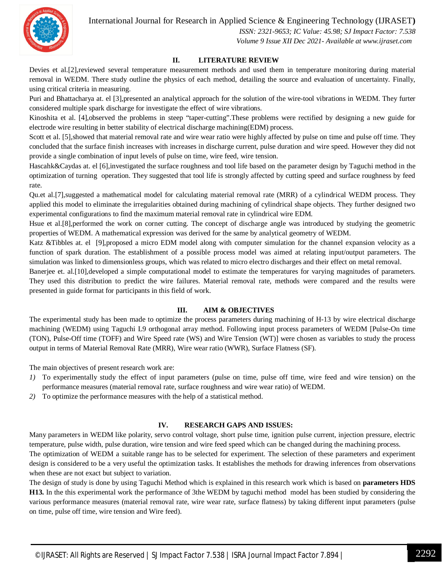International Journal for Research in Applied Science & Engineering Technology (IJRASET**)**



 *ISSN: 2321-9653; IC Value: 45.98; SJ Impact Factor: 7.538 Volume 9 Issue XII Dec 2021- Available at www.ijraset.com*

#### **II. LITERATURE REVIEW**

Devies et al.[2],reviewed several temperature measurement methods and used them in temperature monitoring during material removal in WEDM. There study outline the physics of each method, detailing the source and evaluation of uncertainty. Finally, using critical criteria in measuring.

Puri and Bhattacharya at. el [3],presented an analytical approach for the solution of the wire-tool vibrations in WEDM. They furter considered multiple spark discharge for investigate the effect of wire vibrations.

Kinoshita et al. [4],observed the problems in steep "taper-cutting".These problems were rectified by designing a new guide for electrode wire resulting in better stability of electrical discharge machining(EDM) process.

Scott et al. [5], showed that material removal rate and wire wear ratio were highly affected by pulse on time and pulse off time. They concluded that the surface finish increases with increases in discharge current, pulse duration and wire speed. However they did not provide a single combination of input levels of pulse on time, wire feed, wire tension.

Hascahk&Caydas at. el [6],investigated the surface roughness and tool life based on the parameter design by Taguchi method in the optimization of turning operation. They suggested that tool life is strongly affected by cutting speed and surface roughness by feed rate.

Qu.et al.[7],suggested a mathematical model for calculating material removal rate (MRR) of a cylindrical WEDM process. They applied this model to eliminate the irregularities obtained during machining of cylindrical shape objects. They further designed two experimental configurations to find the maximum material removal rate in cylindrical wire EDM.

Hsue et al.[8],performed the work on corner cutting. The concept of discharge angle was introduced by studying the geometric properties of WEDM. A mathematical expression was derived for the same by analytical geometry of WEDM.

Katz &Tibbles at. el [9],proposed a micro EDM model along with computer simulation for the channel expansion velocity as a function of spark duration. The establishment of a possible process model was aimed at relating input/output parameters. The simulation was linked to dimensionless groups, which was related to micro electro discharges and their effect on metal removal.

Banerjee et. al.[10],developed a simple computational model to estimate the temperatures for varying magnitudes of parameters. They used this distribution to predict the wire failures. Material removal rate, methods were compared and the results were presented in guide format for participants in this field of work.

#### **III. AIM & OBJECTIVES**

The experimental study has been made to optimize the process parameters during machining of H-13 by wire electrical discharge machining (WEDM) using Taguchi L9 orthogonal array method. Following input process parameters of WEDM [Pulse-On time (TON), Pulse-Off time (TOFF) and Wire Speed rate (WS) and Wire Tension (WT)] were chosen as variables to study the process output in terms of Material Removal Rate (MRR), Wire wear ratio (WWR), Surface Flatness (SF).

The main objectives of present research work are:

- *1)* To experimentally study the effect of input parameters (pulse on time, pulse off time, wire feed and wire tension) on the performance measures (material removal rate, surface roughness and wire wear ratio) of WEDM.
- *2)* To optimize the performance measures with the help of a statistical method.

#### **IV. RESEARCH GAPS AND ISSUES:**

Many parameters in WEDM like polarity, servo control voltage, short pulse time, ignition pulse current, injection pressure, electric temperature, pulse width, pulse duration, wire tension and wire feed speed which can be changed during the machining process.

The optimization of WEDM a suitable range has to be selected for experiment. The selection of these parameters and experiment design is considered to be a very useful the optimization tasks. It establishes the methods for drawing inferences from observations when these are not exact but subject to variation.

The design of study is done by using Taguchi Method which is explained in this research work which is based on **parameters HDS H13.** In the this experimental work the performance of 3the WEDM by taguchi method model has been studied by considering the various performance measures (material removal rate, wire wear rate, surface flatness) by taking different input parameters (pulse on time, pulse off time, wire tension and Wire feed).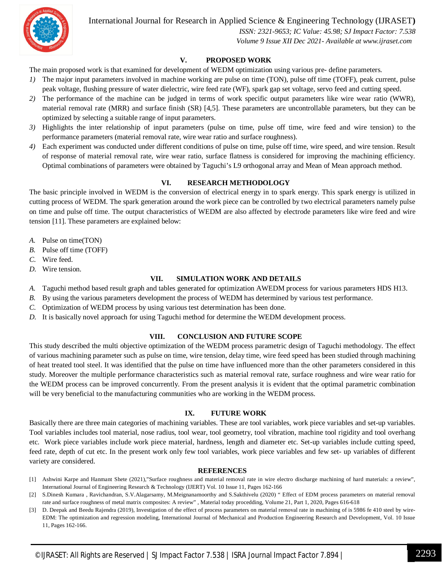International Journal for Research in Applied Science & Engineering Technology (IJRASET**)**

 *ISSN: 2321-9653; IC Value: 45.98; SJ Impact Factor: 7.538 Volume 9 Issue XII Dec 2021- Available at www.ijraset.com*

#### **V. PROPOSED WORK**

The main proposed work is that examined for development of WEDM optimization using various pre- define parameters.

- *1*) The major input parameters involved in machine working are pulse on time (TON), pulse off time (TOFF), peak current, pulse peak voltage, flushing pressure of water dielectric, wire feed rate (WF), spark gap set voltage, servo feed and cutting speed.
- *2)* The performance of the machine can be judged in terms of work specific output parameters like wire wear ratio (WWR), material removal rate (MRR) and surface finish (SR) [4,5]. These parameters are uncontrollable parameters, but they can be optimized by selecting a suitable range of input parameters.
- *3)* Highlights the inter relationship of input parameters (pulse on time, pulse off time, wire feed and wire tension) to the performance parameters (material removal rate, wire wear ratio and surface roughness).
- *4)* Each experiment was conducted under different conditions of pulse on time, pulse off time, wire speed, and wire tension. Result of response of material removal rate, wire wear ratio, surface flatness is considered for improving the machining efficiency. Optimal combinations of parameters were obtained by Taguchi's L9 orthogonal array and Mean of Mean approach method.

#### **VI. RESEARCH METHODOLOGY**

The basic principle involved in WEDM is the conversion of electrical energy in to spark energy. This spark energy is utilized in cutting process of WEDM. The spark generation around the work piece can be controlled by two electrical parameters namely pulse on time and pulse off time. The output characteristics of WEDM are also affected by electrode parameters like wire feed and wire tension [11]. These parameters are explained below:

- *A.* Pulse on time(TON)
- *B.* Pulse off time (TOFF)
- *C.* Wire feed.
- *D.* Wire tension.

#### **VII. SIMULATION WORK AND DETAILS**

- *A.* Taguchi method based result graph and tables generated for optimization AWEDM process for various parameters HDS H13.
- *B.* By using the various parameters development the process of WEDM has determined by various test performance.
- *C.* Optimization of WEDM process by using various test determination has been done.
- *D.* It is basically novel approach for using Taguchi method for determine the WEDM development process.

#### **VIII. CONCLUSION AND FUTURE SCOPE**

This study described the multi objective optimization of the WEDM process parametric design of Taguchi methodology. The effect of various machining parameter such as pulse on time, wire tension, delay time, wire feed speed has been studied through machining of heat treated tool steel. It was identified that the pulse on time have influenced more than the other parameters considered in this study. Moreover the multiple performance characteristics such as material removal rate, surface roughness and wire wear ratio for the WEDM process can be improved concurrently. From the present analysis it is evident that the optimal parametric combination will be very beneficial to the manufacturing communities who are working in the WEDM process.

#### **IX. FUTURE WORK**

Basically there are three main categories of machining variables. These are tool variables, work piece variables and set-up variables. Tool variables includes tool material, nose radius, tool wear, tool geometry, tool vibration, machine tool rigidity and tool overhang etc. Work piece variables include work piece material, hardness, length and diameter etc. Set-up variables include cutting speed, feed rate, depth of cut etc. In the present work only few tool variables, work piece variables and few set- up variables of different variety are considered.

#### **REFERENCES**

- [1] Ashwini Karpe and Hanmant Shete (2021),"Surface roughness and material removal rate in wire electro discharge machining of hard materials: a review", International Journal of Engineering Research & Technology (IJERT) Vol. 10 Issue 11, Pages 162-166
- [2] S.Dinesh Kumara , Ravichandran, S.V.Alagarsamy, M.Meignanamoorthy and S.Sakthivelu (2020) " Effect of EDM process parameters on material removal rate and surface roughness of metal matrix composites: A review" , Material today procedding, Volume 21, Part 1, 2020, Pages 616-618
- [3] D. Deepak and Beedu Rajendra (2019), Investigation of the effect of process parameters on material removal rate in machining of is 5986 fe 410 steel by wire-EDM: The optimization and regression modeling, International Journal of Mechanical and Production Engineering Research and Development, Vol. 10 Issue 11, Pages 162-166.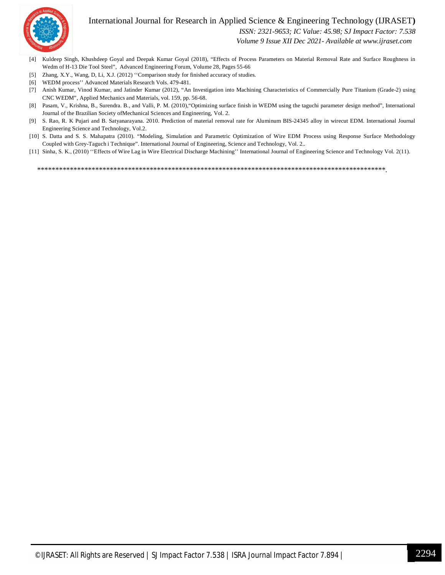

#### International Journal for Research in Applied Science & Engineering Technology (IJRASET**)**

 *ISSN: 2321-9653; IC Value: 45.98; SJ Impact Factor: 7.538*

 *Volume 9 Issue XII Dec 2021- Available at www.ijraset.com*

- [4] Kuldeep Singh, Khushdeep Goyal and Deepak Kumar Goyal (2018), "Effects of Process Parameters on Material Removal Rate and Surface Roughness in Wedm of H-13 Die Tool Steel", Advanced Engineering Forum, Volume 28, Pages 55-66
- [5] Zhang, X.Y., Wang, D, Li, X.J. (2012) "Comparison study for finished accuracy of studies.
- [6] WEDM process'' Advanced Materials Research Vols. 479-481.
- [7] Anish Kumar, Vinod Kumar, and Jatinder Kumar (2012), "An Investigation into Machining Characteristics of Commercially Pure Titanium (Grade-2) using CNC WEDM", Applied Mechanics and Materials, vol. 159, pp. 56-68.
- [8] Pasam, V., Krishna, B., Surendra. B., and Valli, P. M. (2010), "Optimizing surface finish in WEDM using the taguchi parameter design method", International Journal of the Brazilian Society ofMechanical Sciences and Engineering, Vol. 2.
- [9] S. Rao, R. K Pujari and B. Satyanarayana. 2010. Prediction of material removal rate for Aluminum BIS-24345 alloy in wirecut EDM. International Journal Engineering Science and Technology, Vol.2.
- [10] S. Datta and S. S. Mahapatra (2010). "Modeling, Simulation and Parametric Optimization of Wire EDM Process using Response Surface Methodology Coupled with Grey-Taguch i Technique". International Journal of Engineering, Science and Technology, Vol. 2..
- [11] Sinha, S. K., (2010) ''Effects of Wire Lag in Wire Electrical Discharge Machining'' International Journal of Engineering Science and Technology Vol. 2(11).

\*\*\*\*\*\*\*\*\*\*\*\*\*\*\*\*\*\*\*\*\*\*\*\*\*\*\*\*\*\*\*\*\*\*\*\*\*\*\*\*\*\*\*\*\*\*\*\*\*\*\*\*\*\*\*\*\*\*\*\*\*\*\*\*\*\*\*\*\*\*\*\*\*\*\*\*\*\*\*\*\*\*\*\*\*\*\*\*\*\*\*\*\*\*\*\*.